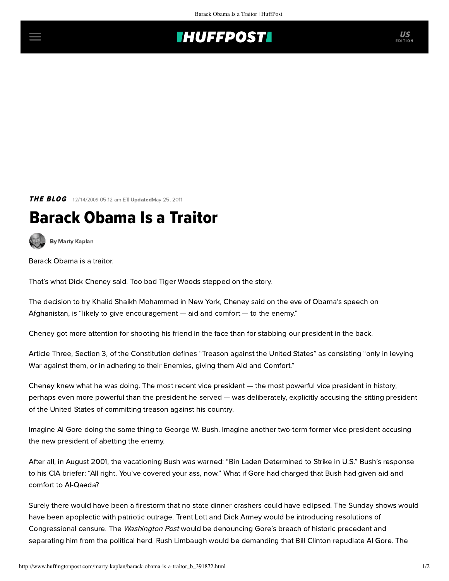## **THUFFPOSTI** US

**THE BLOG** 12/14/2009 05:12 am ETI UpdatedMay 25, 2011

## Barack Obama Is a Traitor

[By Marty Kaplan](http://www.huffingtonpost.com/author/marty-kaplan)

Barack Obama is a traitor.

That's what Dick Cheney said. Too bad Tiger Woods stepped on the story.

The decision to try Khalid Shaikh Mohammed in New York, [Cheney said](http://www.politico.com/news/stories/1109/30024.html) on the eve of Obama's speech on Afghanistan, is "likely to give encouragement — aid and comfort — to the enemy."

Cheney got more attention for shooting his friend in the face than for stabbing our president in the back.

Article Three, Section 3, of the Constitution defines "Treason against the United States" as consisting "only in levying War against them, or in adhering to their Enemies, giving them Aid and Comfort."

Cheney knew what he was doing. The most recent vice president — the most powerful vice president in history, perhaps even more powerful than the president he served — was deliberately, explicitly accusing the sitting president of the United States of committing treason against his country.

Imagine Al Gore doing the same thing to George W. Bush. Imagine another two-term former vice president accusing the new president of abetting the enemy.

After all, in August 2001, the vacationing Bush [was warned](http://www.cnn.com/2004/ALLPOLITICS/04/10/august6.memo/): "Bin Laden Determined to Strike in U.S." [Bush's response](http://www.washingtonpost.com/wp-dyn/content/article/2006/06/19/AR2006061901211.html?sub=AR) to his CIA briefer: "All right. You've covered your ass, now." What if Gore had charged that Bush had given aid and comfort to Al-Qaeda?

Surely there would have been a firestorm that no state dinner crashers could have eclipsed. The Sunday shows would have been apoplectic with patriotic outrage. Trent Lott and Dick Armey would be introducing resolutions of Congressional censure. The Washington Post would be denouncing Gore's breach of historic precedent and separating him from the political herd. Rush Limbaugh would be demanding that Bill Clinton repudiate Al Gore. The